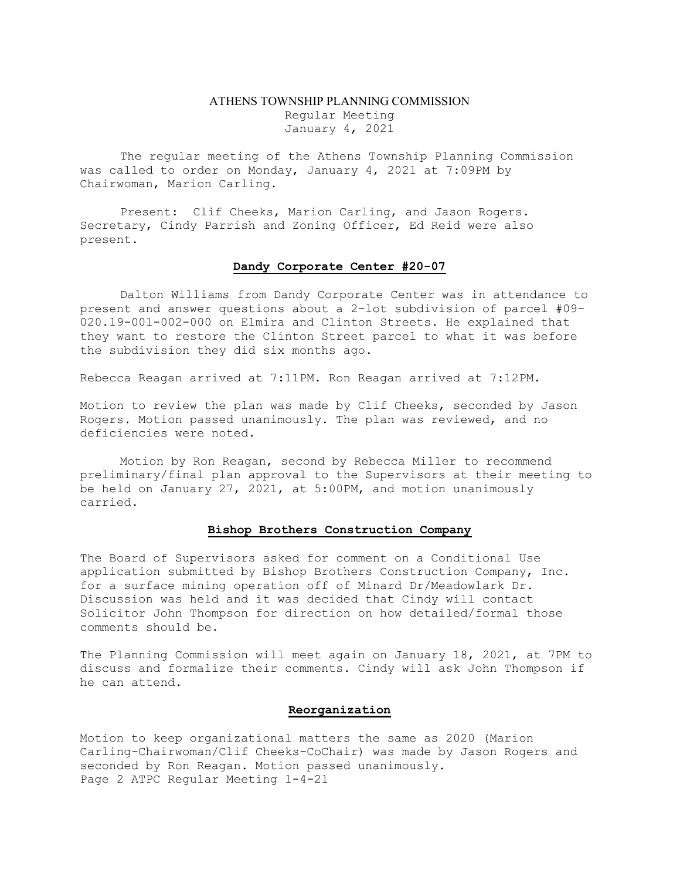## ATHENS TOWNSHIP PLANNING COMMISSION Regular Meeting January 4, 2021

The regular meeting of the Athens Township Planning Commission was called to order on Monday, January 4, 2021 at 7:09PM by Chairwoman, Marion Carling.

Present: Clif Cheeks, Marion Carling, and Jason Rogers. Secretary, Cindy Parrish and Zoning Officer, Ed Reid were also present.

## Dandy Corporate Center #20-07

Dalton Williams from Dandy Corporate Center was in attendance to present and answer questions about a 2-lot subdivision of parcel #09- 020.19-001-002-000 on Elmira and Clinton Streets. He explained that they want to restore the Clinton Street parcel to what it was before the subdivision they did six months ago.

Rebecca Reagan arrived at 7:11PM. Ron Reagan arrived at 7:12PM.

Motion to review the plan was made by Clif Cheeks, seconded by Jason Rogers. Motion passed unanimously. The plan was reviewed, and no deficiencies were noted.

Motion by Ron Reagan, second by Rebecca Miller to recommend preliminary/final plan approval to the Supervisors at their meeting to be held on January 27, 2021, at 5:00PM, and motion unanimously carried.

## Bishop Brothers Construction Company

The Board of Supervisors asked for comment on a Conditional Use application submitted by Bishop Brothers Construction Company, Inc. for a surface mining operation off of Minard Dr/Meadowlark Dr. Discussion was held and it was decided that Cindy will contact Solicitor John Thompson for direction on how detailed/formal those comments should be.

The Planning Commission will meet again on January 18, 2021, at 7PM to discuss and formalize their comments. Cindy will ask John Thompson if he can attend.

## Reorganization

Motion to keep organizational matters the same as 2020 (Marion Carling-Chairwoman/Clif Cheeks-CoChair) was made by Jason Rogers and seconded by Ron Reagan. Motion passed unanimously. Page 2 ATPC Regular Meeting 1-4-21